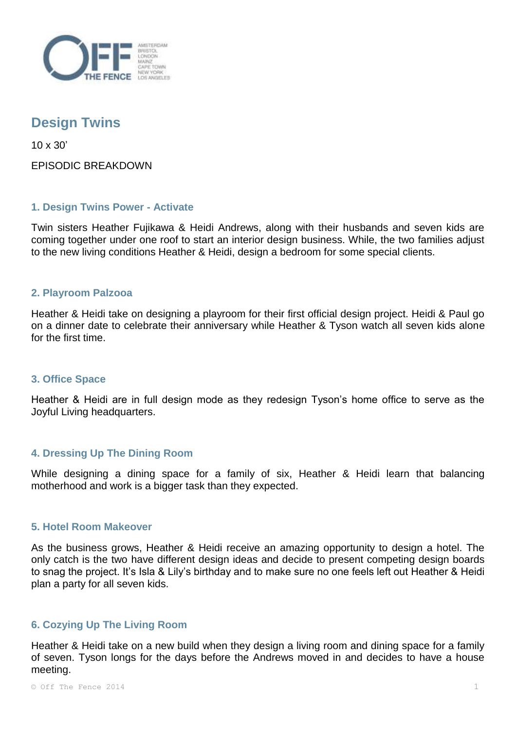

# **Design Twins**

10 x 30'

EPISODIC BREAKDOWN

## **1. Design Twins Power - Activate**

Twin sisters Heather Fujikawa & Heidi Andrews, along with their husbands and seven kids are coming together under one roof to start an interior design business. While, the two families adjust to the new living conditions Heather & Heidi, design a bedroom for some special clients.

## **2. Playroom Palzooa**

Heather & Heidi take on designing a playroom for their first official design project. Heidi & Paul go on a dinner date to celebrate their anniversary while Heather & Tyson watch all seven kids alone for the first time.

## **3. Office Space**

Heather & Heidi are in full design mode as they redesign Tyson's home office to serve as the Joyful Living headquarters.

## **4. Dressing Up The Dining Room**

While designing a dining space for a family of six, Heather & Heidi learn that balancing motherhood and work is a bigger task than they expected.

#### **5. Hotel Room Makeover**

As the business grows, Heather & Heidi receive an amazing opportunity to design a hotel. The only catch is the two have different design ideas and decide to present competing design boards to snag the project. It's Isla & Lily's birthday and to make sure no one feels left out Heather & Heidi plan a party for all seven kids.

## **6. Cozying Up The Living Room**

Heather & Heidi take on a new build when they design a living room and dining space for a family of seven. Tyson longs for the days before the Andrews moved in and decides to have a house meeting.